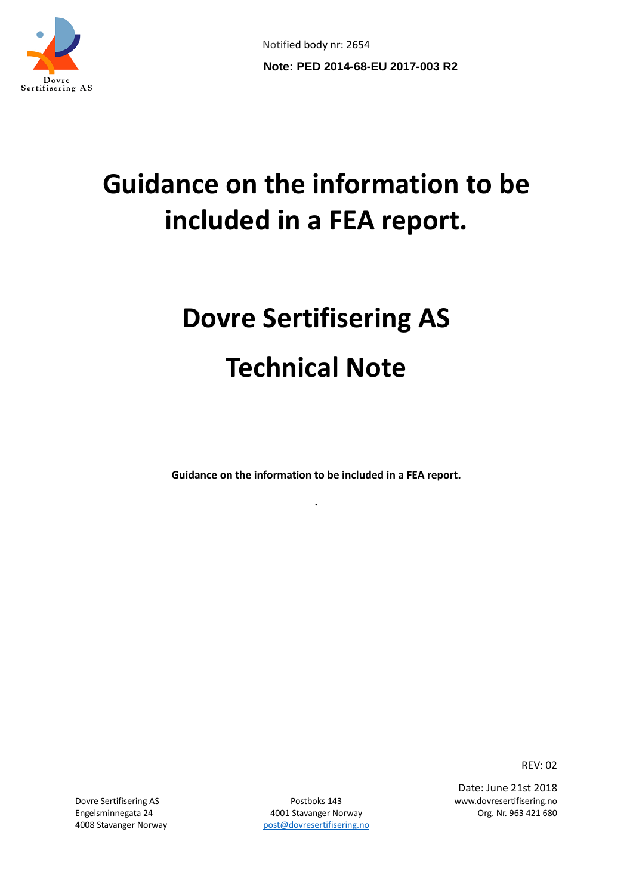

Notified body nr: 2654 **Note: PED 2014-68-EU 2017-003 R2**

# **Guidance on the information to be included in a FEA report.**

# **Dovre Sertifisering AS Technical Note**

**Guidance on the information to be included in a FEA report.**

**.**

REV: 02

Engelsminnegata 24 **4001 Stavanger Norway Communications** Org. Nr. 963 421 680 4008 Stavanger Norway bost @dovresertifisering.no

Dovre Sertifisering AS Postboks 143 www.dovresertifisering.no Date: June 21st 2018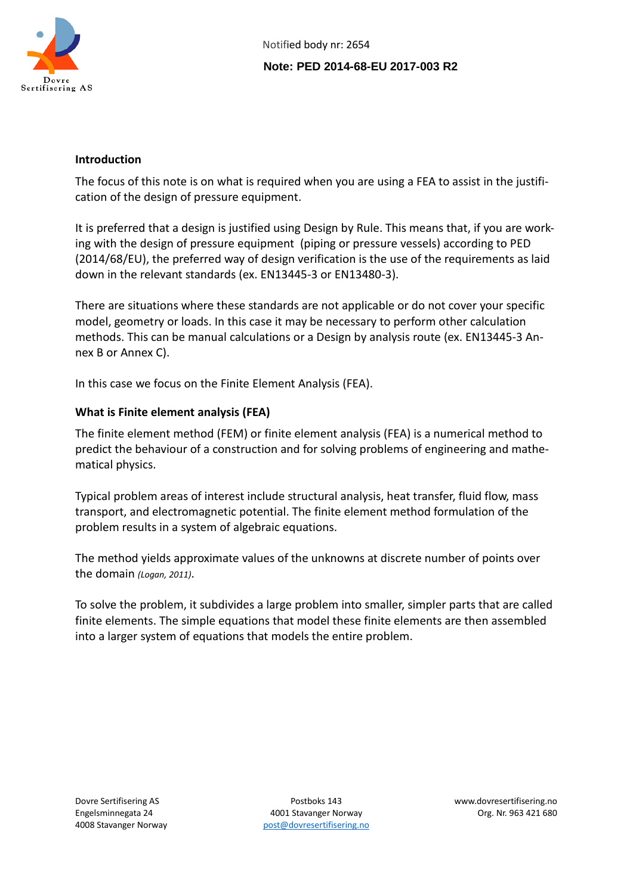

#### **Introduction**

The focus of this note is on what is required when you are using a FEA to assist in the justification of the design of pressure equipment.

It is preferred that a design is justified using Design by Rule. This means that, if you are working with the design of pressure equipment (piping or pressure vessels) according to PED (2014/68/EU), the preferred way of design verification is the use of the requirements as laid down in the relevant standards (ex. EN13445-3 or EN13480-3).

There are situations where these standards are not applicable or do not cover your specific model, geometry or loads. In this case it may be necessary to perform other calculation methods. This can be manual calculations or a Design by analysis route (ex. EN13445-3 Annex B or Annex C).

In this case we focus on the Finite Element Analysis (FEA).

# **What is Finite element analysis (FEA)**

The finite element method (FEM) or finite element analysis (FEA) is [a numerical method](https://en.wikipedia.org/wiki/Numerical_analysis) to predict the behaviour of a construction and for solving problems of engineering and [mathe](https://en.wikipedia.org/wiki/Mathematical_physics)[matical physics.](https://en.wikipedia.org/wiki/Mathematical_physics)

Typical problem areas of interest includ[e structural analysis,](https://en.wikipedia.org/wiki/Structural_analysis) [heat transfer,](https://en.wikipedia.org/wiki/Heat_transfer) [fluid flow,](https://en.wikipedia.org/wiki/Fluid_flow) mass transport, and [electromagnetic potential.](https://en.wikipedia.org/wiki/Electromagnetic_potential) The finite element method formulation of the problem results in a system of [algebraic equations.](https://en.wikipedia.org/wiki/Algebraic_equation)

The method yields approximate values of the unknowns at discrete number of points over the domain *(Logan, 2011)*.

To solve the problem, it subdivides a large problem into smaller, simpler parts that are called finite elements. The simple equations that model these finite elements are then assembled into a larger system of equations that models the entire problem.

Engelsminnegata 24 4001 Stavanger Norway Org. Nr. 963 421 680 4008 Stavanger Norway entitled by [post@dovresertifisering.no](mailto:post@dovresertifisering.no)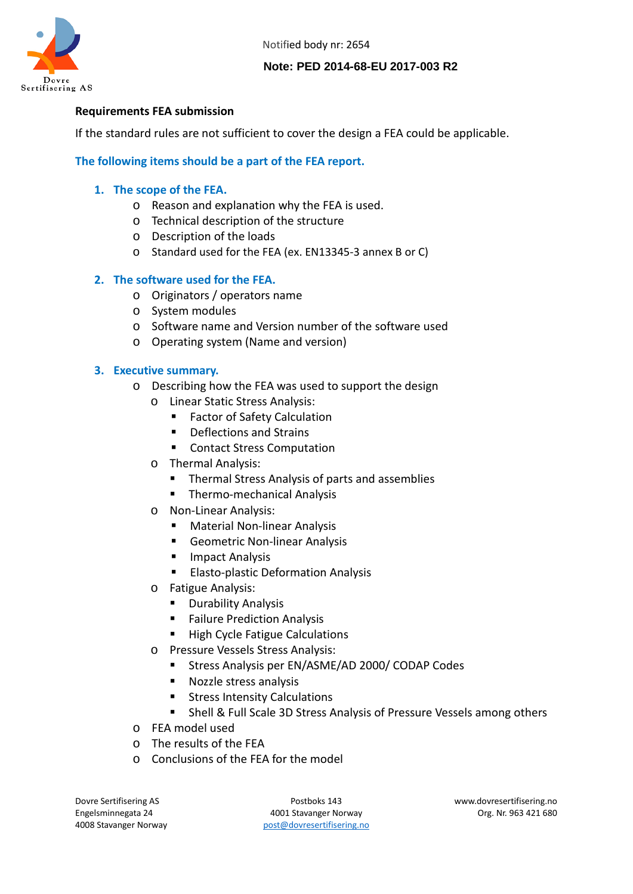Notified body nr: 2654



#### **Note: PED 2014-68-EU 2017-003 R2**

#### **Requirements FEA submission**

If the standard rules are not sufficient to cover the design a FEA could be applicable.

#### **The following items should be a part of the FEA report.**

#### **1. The scope of the FEA.**

- o Reason and explanation why the FEA is used.
- o Technical description of the structure
- o Description of the loads
- o Standard used for the FEA (ex. EN13345-3 annex B or C)

#### **2. The software used for the FEA.**

- o Originators / operators name
- o System modules
- o Software name and Version number of the software used
- o Operating system (Name and version)

#### **3. Executive summary.**

- o Describing how the FEA was used to support the design
	- o Linear Static Stress Analysis:
		- Factor of Safety Calculation
		- Deflections and Strains
		- Contact Stress Computation
	- o Thermal Analysis:
		- Thermal Stress Analysis of parts and assemblies
		- **F** Thermo-mechanical Analysis
	- o Non-Linear Analysis:
		- **Material Non-linear Analysis**
		- **Geometric Non-linear Analysis**
		- **Impact Analysis**
		- **Elasto-plastic Deformation Analysis**
	- o Fatigue Analysis:
		- **•** Durability Analysis
		- **Failure Prediction Analysis**
		- **High Cycle Fatigue Calculations**
	- o Pressure Vessels Stress Analysis:
		- **Stress Analysis per EN/ASME/AD 2000/ CODAP Codes**
		- **Nozzle stress analysis**
		- Stress Intensity Calculations
		- **F** Shell & Full Scale 3D Stress Analysis of Pressure Vessels among others
- o FEA model used
- o The results of the FEA
- o Conclusions of the FEA for the model

Engelsminnegata 24 **4001 Stavanger Norway Communist Communist Communist Communist Communist Communist Communist Communist Communist Communist Communist Communist Communist Communist Communist Communist Communist Communis** 4008 Stavanger Norway entitled by [post@dovresertifisering.no](mailto:post@dovresertifisering.no)

Dovre Sertifisering AS Postboks 143 www.dovresertifisering.no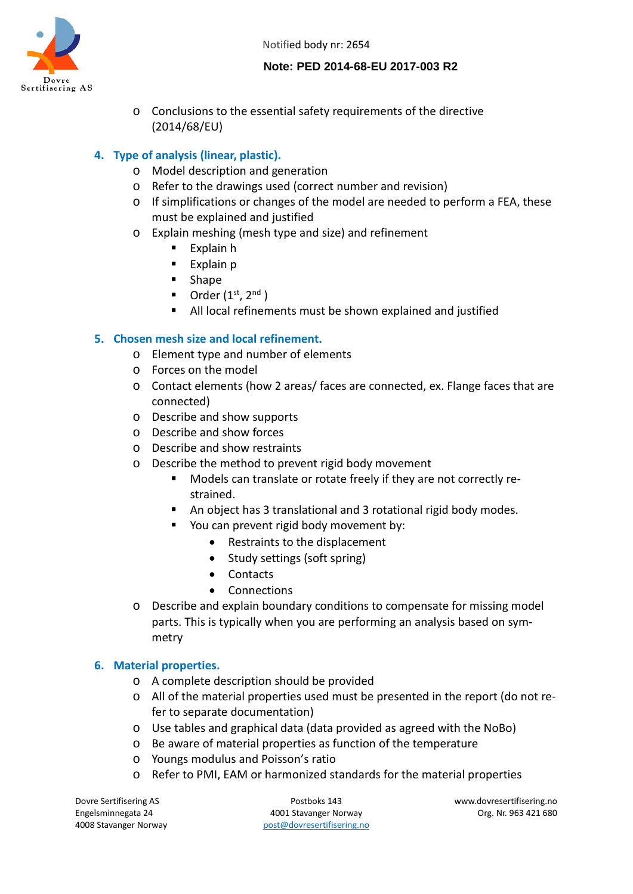Notified body nr: 2654



#### **Note: PED 2014-68-EU 2017-003 R2**

o Conclusions to the essential safety requirements of the directive (2014/68/EU)

# **4. Type of analysis (linear, plastic).**

- o Model description and generation
- o Refer to the drawings used (correct number and revision)
- o If simplifications or changes of the model are needed to perform a FEA, these must be explained and justified
- o Explain meshing (mesh type and size) and refinement
	- **Explain h**
	- $\blacksquare$  Explain p
	- **Shape**
	- Order  $(1^{st}, 2^{nd})$
	- All local refinements must be shown explained and justified

# **5. Chosen mesh size and local refinement.**

- o Element type and number of elements
- o Forces on the model
- o Contact elements (how 2 areas/ faces are connected, ex. Flange faces that are connected)
- o Describe and show supports
- o Describe and show forces
- o Describe and show restraints
- o Describe the method to prevent rigid body movement
	- Models can translate or rotate freely if they are not correctly restrained.
	- An object has 3 translational and 3 rotational rigid body modes.
	- You can prevent rigid body movement by:
		- Restraints to the displacement
		- Study settings (soft spring)
		- Contacts
		- Connections
- o Describe and explain boundary conditions to compensate for missing model parts. This is typically when you are performing an analysis based on symmetry

# **6. Material properties.**

- o A complete description should be provided
- o All of the material properties used must be presented in the report (do not refer to separate documentation)
- o Use tables and graphical data (data provided as agreed with the NoBo)
- o Be aware of material properties as function of the temperature
- o Youngs modulus and Poisson's ratio
- o Refer to PMI, EAM or harmonized standards for the material properties

Engelsminnegata 24 **4001 Stavanger Norway Communist Communist Communist Communist Communist Communist Communist Communist Communist Communist Communist Communist Communist Communist Communist Communist Communist Communis** 4008 Stavanger Norway entitled by [post@dovresertifisering.no](mailto:post@dovresertifisering.no)

Dovre Sertifisering AS Postboks 143 www.dovresertifisering.no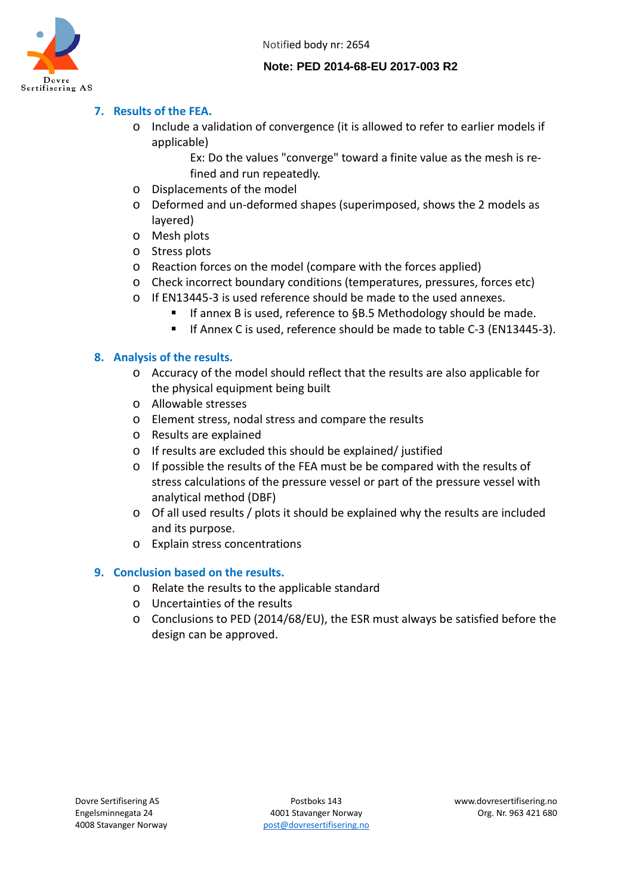

#### **Note: PED 2014-68-EU 2017-003 R2**

# **7. Results of the FEA.**

- o Include a validation of convergence (it is allowed to refer to earlier models if applicable)
	- Ex: Do the values "converge" toward a finite value as the mesh is refined and run repeatedly.
- o Displacements of the model
- o Deformed and un-deformed shapes (superimposed, shows the 2 models as layered)
- o Mesh plots
- o Stress plots
- o Reaction forces on the model (compare with the forces applied)
- o Check incorrect boundary conditions (temperatures, pressures, forces etc)
- o If EN13445-3 is used reference should be made to the used annexes.
	- If annex B is used, reference to §B.5 Methodology should be made.
	- If Annex C is used, reference should be made to table C-3 (EN13445-3).

#### **8. Analysis of the results.**

- o Accuracy of the model should reflect that the results are also applicable for the physical equipment being built
- o Allowable stresses
- o Element stress, nodal stress and compare the results
- o Results are explained
- o If results are excluded this should be explained/ justified
- o If possible the results of the FEA must be be compared with the results of stress calculations of the pressure vessel or part of the pressure vessel with analytical method (DBF)
- o Of all used results / plots it should be explained why the results are included and its purpose.
- o Explain stress concentrations

#### **9. Conclusion based on the results.**

- o Relate the results to the applicable standard
- o Uncertainties of the results
- o Conclusions to PED (2014/68/EU), the ESR must always be satisfied before the design can be approved.